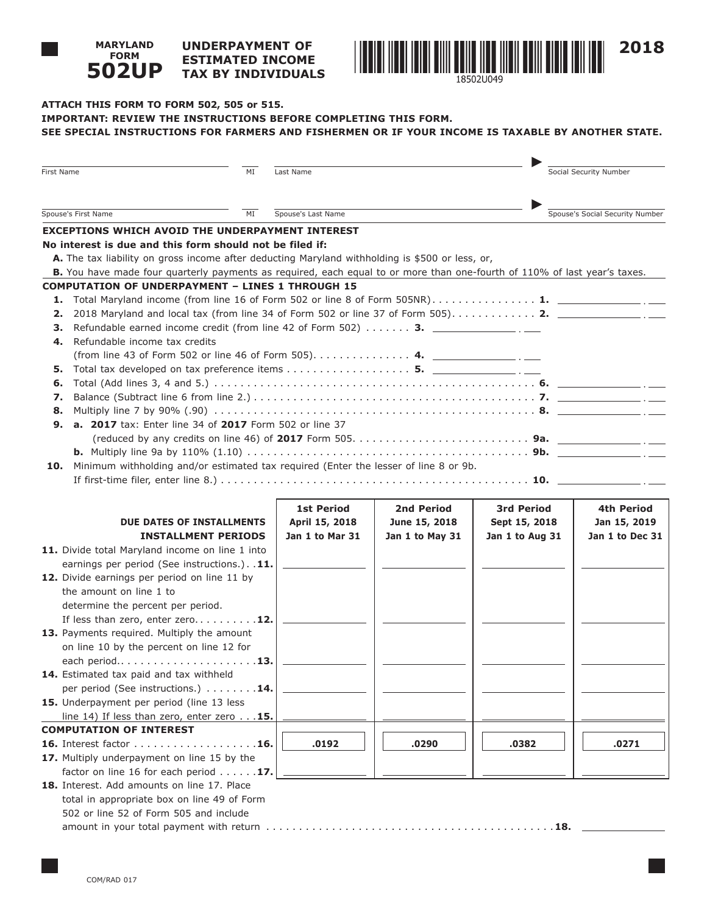#### **UNDERPAYMENT OF ESTIMATED INCOME TAX BY INDIVIDUALS 502UP**



1850211049

# **ATTACH THIS FORM TO FORM 502, 505 or 515. IMPORTANT: REVIEW THE INSTRUCTIONS BEFORE COMPLETING THIS FORM. SEE SPECIAL INSTRUCTIONS FOR FARMERS AND FISHERMEN OR IF YOUR INCOME IS TAXABLE BY ANOTHER STATE.**

| First Name                                                                                  | MI                                                                                                                        | Last Name          |                 |                   | Social Security Number          |  |
|---------------------------------------------------------------------------------------------|---------------------------------------------------------------------------------------------------------------------------|--------------------|-----------------|-------------------|---------------------------------|--|
| Spouse's First Name<br>MI                                                                   |                                                                                                                           | Spouse's Last Name |                 |                   | Spouse's Social Security Number |  |
|                                                                                             | <b>EXCEPTIONS WHICH AVOID THE UNDERPAYMENT INTEREST</b>                                                                   |                    |                 |                   |                                 |  |
|                                                                                             | No interest is due and this form should not be filed if:                                                                  |                    |                 |                   |                                 |  |
|                                                                                             | A. The tax liability on gross income after deducting Maryland withholding is \$500 or less, or,                           |                    |                 |                   |                                 |  |
|                                                                                             | B. You have made four quarterly payments as required, each equal to or more than one-fourth of 110% of last year's taxes. |                    |                 |                   |                                 |  |
|                                                                                             | <b>COMPUTATION OF UNDERPAYMENT - LINES 1 THROUGH 15</b>                                                                   |                    |                 |                   |                                 |  |
| 1.                                                                                          | Total Maryland income (from line 16 of Form 502 or line 8 of Form 505NR) 1. ________________.                             |                    |                 |                   |                                 |  |
| 2.                                                                                          |                                                                                                                           |                    |                 |                   |                                 |  |
| з.                                                                                          | Refundable earned income credit (from line 42 of Form 502) $\dots \dots$ 3.                                               |                    |                 |                   |                                 |  |
| 4.                                                                                          | Refundable income tax credits                                                                                             |                    |                 |                   |                                 |  |
|                                                                                             | (from line 43 of Form 502 or line 46 of Form 505) 4.                                                                      |                    |                 |                   |                                 |  |
| 5.                                                                                          |                                                                                                                           |                    |                 |                   |                                 |  |
| 6.                                                                                          |                                                                                                                           |                    |                 |                   |                                 |  |
| 7.                                                                                          |                                                                                                                           |                    |                 |                   |                                 |  |
| 8.                                                                                          |                                                                                                                           |                    |                 |                   |                                 |  |
| 9.                                                                                          | a. 2017 tax: Enter line 34 of 2017 Form 502 or line 37                                                                    |                    |                 |                   |                                 |  |
|                                                                                             |                                                                                                                           |                    |                 |                   |                                 |  |
|                                                                                             |                                                                                                                           |                    |                 |                   |                                 |  |
| Minimum withholding and/or estimated tax required (Enter the lesser of line 8 or 9b.<br>10. |                                                                                                                           |                    |                 |                   |                                 |  |
|                                                                                             |                                                                                                                           |                    |                 |                   |                                 |  |
|                                                                                             |                                                                                                                           |                    |                 |                   |                                 |  |
|                                                                                             |                                                                                                                           | <b>1st Period</b>  | 2nd Period      | <b>3rd Period</b> | 4th Period                      |  |
|                                                                                             | DUE DATES OF INSTALLMENTS                                                                                                 | April 15, 2018     | June 15, 2018   | Sept 15, 2018     | Jan 15, 2019                    |  |
|                                                                                             | <b>INSTALLMENT PERIODS</b>                                                                                                | Jan 1 to Mar 31    | Jan 1 to May 31 | Jan 1 to Aug 31   | Jan 1 to Dec 31                 |  |
|                                                                                             | 11. Divide total Maryland income on line 1 into                                                                           |                    |                 |                   |                                 |  |
|                                                                                             | earnings per period (See instructions.). 11.                                                                              |                    |                 |                   |                                 |  |
|                                                                                             | 12. Divide earnings per period on line 11 by<br>the amount on line 1 to                                                   |                    |                 |                   |                                 |  |
|                                                                                             | determine the percent per period.                                                                                         |                    |                 |                   |                                 |  |
|                                                                                             | If less than zero, enter zero12.                                                                                          |                    |                 |                   |                                 |  |
|                                                                                             | 13. Payments required. Multiply the amount                                                                                |                    |                 |                   |                                 |  |
|                                                                                             | on line 10 by the percent on line 12 for                                                                                  |                    |                 |                   |                                 |  |
|                                                                                             | each period13.                                                                                                            |                    |                 |                   |                                 |  |
|                                                                                             | 14. Estimated tax paid and tax withheld                                                                                   |                    |                 |                   |                                 |  |
|                                                                                             | per period (See instructions.) 14.                                                                                        |                    |                 |                   |                                 |  |
|                                                                                             | 15. Underpayment per period (line 13 less)                                                                                |                    |                 |                   |                                 |  |
|                                                                                             | line 14) If less than zero, enter zero $\ldots$ 15.                                                                       |                    |                 |                   |                                 |  |
|                                                                                             | <b>COMPUTATION OF INTEREST</b>                                                                                            |                    |                 |                   |                                 |  |
|                                                                                             | <b>16.</b> Interest factor 16.                                                                                            | .0192              | .0290           | .0382             | .0271                           |  |
|                                                                                             | 17. Multiply underpayment on line 15 by the                                                                               |                    |                 |                   |                                 |  |
|                                                                                             | factor on line 16 for each period $\ldots \ldots$ 17.                                                                     |                    |                 |                   |                                 |  |
|                                                                                             | 18. Interest. Add amounts on line 17. Place                                                                               |                    |                 |                   |                                 |  |
|                                                                                             | total in appropriate box on line 49 of Form                                                                               |                    |                 |                   |                                 |  |
|                                                                                             | 502 or line 52 of Form 505 and include                                                                                    |                    |                 |                   |                                 |  |
|                                                                                             |                                                                                                                           |                    |                 |                   |                                 |  |